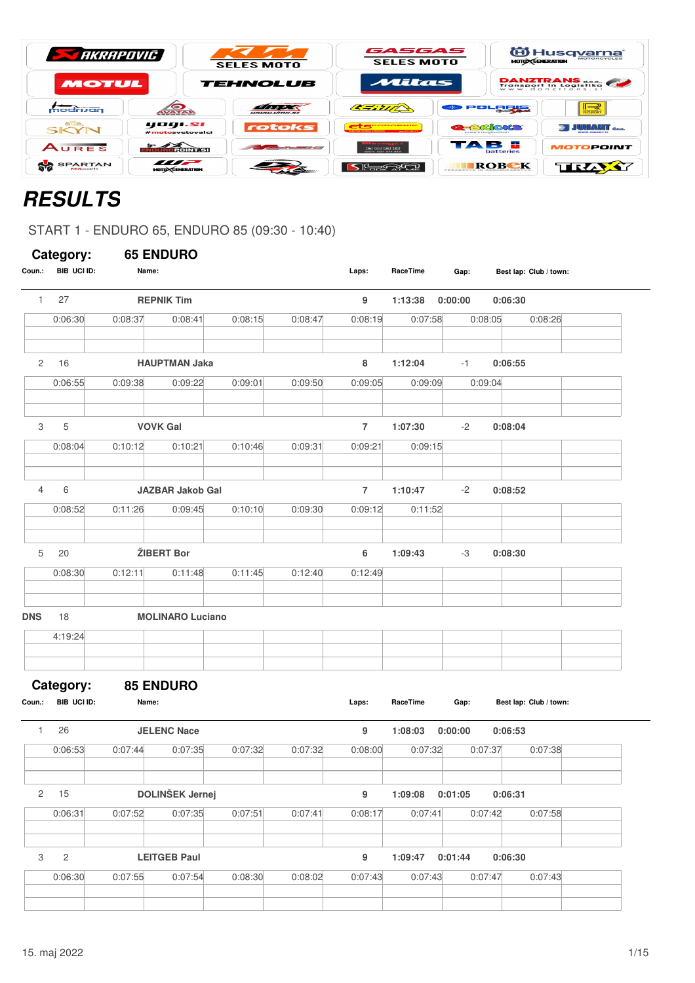| <b>STARRAPOVIC</b>                |                                           | <b>SELES MOTO</b>                                                                                                   | GASGAS<br><b>SELES MOTO</b>                                                      | <b>MOTO CGENERATION</b>                    | 伯 Husq <u>varna</u> *<br><b>MOTORCYCLES</b> |
|-----------------------------------|-------------------------------------------|---------------------------------------------------------------------------------------------------------------------|----------------------------------------------------------------------------------|--------------------------------------------|---------------------------------------------|
| <b>MOTUL</b>                      |                                           | <b>TEHNOLUB</b>                                                                                                     | Attas                                                                            |                                            | <b>DANZTRANS</b><br>Transport in Logistika  |
| modrijan                          | <b>AVATAR</b>                             | WWW.WTDC.SI                                                                                                         | CENTR                                                                            | POLORIS                                    | $\mathbb{R}$<br><b>BS&amp;5+</b>            |
| <b>GISB.</b><br><b>SKYN</b>       | yogi.si<br>#motosvetovalci                | rotoks                                                                                                              | <b>Committee of the Committee State Production</b><br><b>WANTED WATER WANTED</b> | <b>G-BRICKS</b><br><b>DUTE IMODINAtion</b> | $\geq$ JUHANIT $_{\text{max}}$              |
| AURES                             | AORÒINT.SI                                | and the contract of the contract of the contract of the contract of the contract of the contract of the contract of | $\overline{150}$ (see Fee)<br>Gam 081 411 418                                    | TAB E<br>batteries                         | <b>MOTOPOINT</b>                            |
| <b>SPARTAN</b><br><b>MX</b> parts | $\blacksquare$<br><b>MOTOR GENERATION</b> |                                                                                                                     | $\blacksquare$                                                                   | ROBEK                                      | TRAXY                                       |

# **RESULTS**

START 1 - ENDURO 65, ENDURO 85 (09:30 - 10:40)

|                | Category:      | <b>65 ENDURO</b> |                         |         |         |                |          |         |                        |
|----------------|----------------|------------------|-------------------------|---------|---------|----------------|----------|---------|------------------------|
| Coun.:         | BIB UCI ID:    | Name:            |                         |         |         | Laps:          | RaceTime | Gap:    | Best lap: Club / town: |
| $\mathbf{1}$   | 27             |                  | <b>REPNIK Tim</b>       |         |         | 9              | 1:13:38  | 0:00:00 | 0:06:30                |
|                | 0:06:30        | 0:08:37          | 0:08:41                 | 0:08:15 | 0:08:47 | 0:08:19        | 0:07:58  | 0:08:05 | 0:08:26                |
| $\overline{c}$ | 16             |                  | <b>HAUPTMAN Jaka</b>    |         |         | 8              | 1:12:04  | $-1$    | 0:06:55                |
|                | 0:06:55        | 0:09:38          | 0:09:22                 | 0:09:01 | 0:09:50 | 0:09:05        | 0:09:09  | 0:09:04 |                        |
|                |                |                  |                         |         |         |                |          |         |                        |
| 3              | 5              |                  | <b>VOVK Gal</b>         |         |         | $\overline{7}$ | 1:07:30  | $-2$    | 0:08:04                |
|                | 0:08:04        | 0:10:12          | 0:10:21                 | 0:10:46 | 0:09:31 | 0:09:21        | 0:09:15  |         |                        |
| $\overline{4}$ | 6              |                  | <b>JAZBAR Jakob Gal</b> |         |         | $\overline{7}$ | 1:10:47  | $-2$    | 0:08:52                |
|                | 0:08:52        | 0:11:26          | 0:09:45                 | 0:10:10 | 0:09:30 | 0:09:12        | 0:11:52  |         |                        |
|                |                |                  |                         |         |         |                |          |         |                        |
| 5              | 20             |                  | ŽIBERT Bor              |         |         | 6              | 1:09:43  | -3      | 0:08:30                |
|                | 0:08:30        | 0:12:11          | 0:11:48                 | 0:11:45 | 0:12:40 | 0:12:49        |          |         |                        |
| <b>DNS</b>     | 18             |                  | <b>MOLINARO Luciano</b> |         |         |                |          |         |                        |
|                | 4:19:24        |                  |                         |         |         |                |          |         |                        |
|                | Category:      |                  | <b>85 ENDURO</b>        |         |         |                |          |         |                        |
| Coun.:         | BIB UCI ID:    | Name:            |                         |         |         | Laps:          | RaceTime | Gap:    | Best lap: Club / town: |
| $\mathbf{1}$   | 26             |                  | <b>JELENC Nace</b>      |         |         | 9              | 1:08:03  | 0:00:00 | 0:06:53                |
|                | 0:06:53        | 0:07:44          | 0:07:35                 | 0:07:32 | 0:07:32 | 0:08:00        | 0:07:32  | 0:07:37 | 0:07:38                |
| $\overline{2}$ | 15             |                  | <b>DOLINŠEK Jernej</b>  |         |         | 9              | 1:09:08  | 0:01:05 | 0:06:31                |
|                | 0:06:31        | 0:07:52          | 0:07:35                 | 0:07:51 | 0:07:41 | 0:08:17        | 0:07:41  | 0:07:42 | 0:07:58                |
|                |                |                  |                         |         |         |                |          |         |                        |
| 3              | $\overline{c}$ |                  | <b>LEITGEB Paul</b>     |         |         | 9              | 1:09:47  | 0:01:44 | 0:06:30                |
|                | 0:06:30        | 0:07:55          | 0:07:54                 | 0:08:30 | 0:08:02 | 0:07:43        | 0:07:43  | 0:07:47 | 0:07:43                |
|                |                |                  |                         |         |         |                |          |         |                        |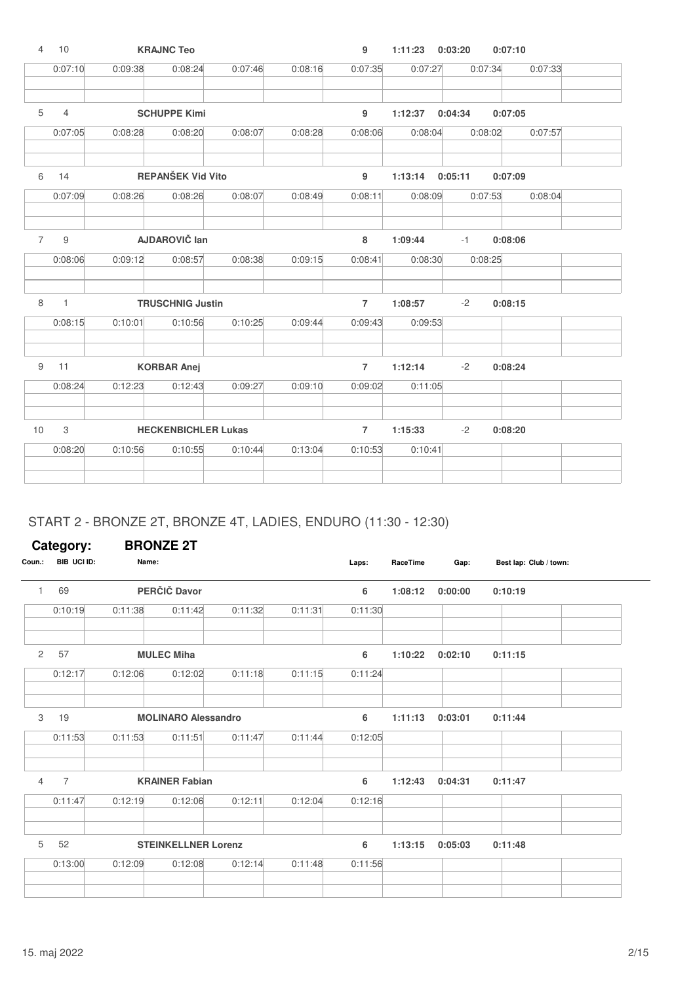| 4              | 10             |         | <b>KRAJNC Teo</b>          |         |         | 9              | 1:11:23 | 0:03:20 | 0:07:10            |  |
|----------------|----------------|---------|----------------------------|---------|---------|----------------|---------|---------|--------------------|--|
|                | 0:07:10        | 0:09:38 | 0:08:24                    | 0:07:46 | 0:08:16 | 0:07:35        | 0:07:27 |         | 0:07:34<br>0:07:33 |  |
| 5              | $\overline{4}$ |         | <b>SCHUPPE Kimi</b>        |         |         | 9              | 1:12:37 | 0:04:34 | 0:07:05            |  |
|                | 0:07:05        | 0:08:28 | 0:08:20                    | 0:08:07 | 0:08:28 | 0:08:06        | 0:08:04 |         | 0:08:02<br>0:07:57 |  |
| 6              | 14             |         | <b>REPANŠEK Vid Vito</b>   |         |         | 9              | 1:13:14 | 0:05:11 | 0:07:09            |  |
|                | 0:07:09        | 0:08:26 | 0:08:26                    | 0:08:07 | 0:08:49 | 0:08:11        | 0:08:09 |         | 0:07:53<br>0:08:04 |  |
| $\overline{7}$ | $\mathsf 9$    |         | AJDAROVIČ lan              |         |         | 8              | 1:09:44 | $-1$    | 0:08:06            |  |
|                | 0:08:06        | 0:09:12 | 0:08:57                    | 0:08:38 | 0:09:15 | 0:08:41        | 0:08:30 |         | 0:08:25            |  |
| 8              | $\mathbf{1}$   |         | <b>TRUSCHNIG Justin</b>    |         |         | $\overline{7}$ | 1:08:57 | $-2$    | 0:08:15            |  |
|                | 0:08:15        | 0:10:01 | 0:10:56                    | 0:10:25 | 0:09:44 | 0:09:43        | 0:09:53 |         |                    |  |
| $9\,$          | 11             |         | <b>KORBAR Anej</b>         |         |         | $\overline{7}$ | 1:12:14 | $-2$    | 0:08:24            |  |
|                | 0:08:24        | 0:12:23 | 0:12:43                    | 0:09:27 | 0:09:10 | 0:09:02        | 0:11:05 |         |                    |  |
| 10             | 3              |         | <b>HECKENBICHLER Lukas</b> |         |         | $\overline{7}$ | 1:15:33 | $-2$    | 0:08:20            |  |
|                | 0:08:20        | 0:10:56 | 0:10:55                    | 0:10:44 | 0:13:04 | 0:10:53        | 0:10:41 |         |                    |  |
|                |                |         |                            |         |         |                |         |         |                    |  |
|                |                |         |                            |         |         |                |         |         |                    |  |

# START 2 - BRONZE 2T, BRONZE 4T, LADIES, ENDURO (11:30 - 12:30)

| Category: |                |         | <b>BRONZE 2T</b>           |         |         |         |          |         |                        |
|-----------|----------------|---------|----------------------------|---------|---------|---------|----------|---------|------------------------|
| Coun.:    | BIB UCI ID:    | Name:   |                            |         |         | Laps:   | RaceTime | Gap:    | Best lap: Club / town: |
| 1         | 69             |         | PERČIČ Davor               |         |         | 6       | 1:08:12  | 0:00:00 | 0:10:19                |
|           | 0:10:19        | 0:11:38 | 0:11:42                    | 0:11:32 | 0:11:31 | 0:11:30 |          |         |                        |
| 2         | 57             |         | <b>MULEC Miha</b>          |         |         | 6       | 1:10:22  | 0:02:10 | 0:11:15                |
|           | 0:12:17        | 0:12:06 | 0:12:02                    | 0:11:18 | 0:11:15 | 0:11:24 |          |         |                        |
| 3         | 19             |         | <b>MOLINARO Alessandro</b> |         |         | 6       | 1:11:13  | 0:03:01 | 0:11:44                |
|           | 0:11:53        | 0:11:53 | 0:11:51                    | 0:11:47 | 0:11:44 | 0:12:05 |          |         |                        |
| 4         | $\overline{7}$ |         | <b>KRAINER Fabian</b>      |         |         | 6       | 1:12:43  | 0:04:31 | 0:11:47                |
|           | 0:11:47        | 0:12:19 | 0:12:06                    | 0:12:11 | 0:12:04 | 0:12:16 |          |         |                        |
| 5         | 52             |         | <b>STEINKELLNER Lorenz</b> |         |         | 6       | 1:13:15  | 0:05:03 | 0:11:48                |
|           | 0:13:00        | 0:12:09 | 0:12:08                    | 0:12:14 | 0:11:48 | 0:11:56 |          |         |                        |
|           |                |         |                            |         |         |         |          |         |                        |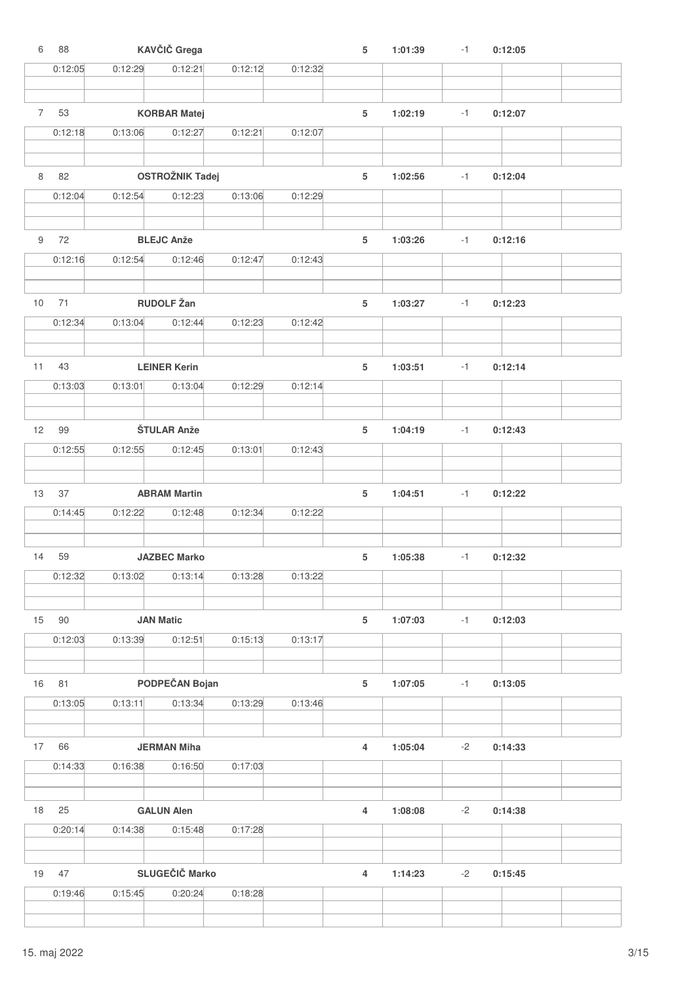| 6              | 88      |         | KAVČIČ Grega           |         |         | 5              | 1:01:39 | $-1$ | 0:12:05 |  |
|----------------|---------|---------|------------------------|---------|---------|----------------|---------|------|---------|--|
|                | 0:12:05 | 0:12:29 | 0:12:21                | 0:12:12 | 0:12:32 |                |         |      |         |  |
|                |         |         |                        |         |         |                |         |      |         |  |
| 7 <sup>7</sup> |         |         |                        |         |         |                |         |      |         |  |
|                | 53      |         | <b>KORBAR Matej</b>    |         |         | $\sqrt{5}$     | 1:02:19 | $-1$ | 0:12:07 |  |
|                | 0:12:18 | 0:13:06 | 0:12:27                | 0:12:21 | 0:12:07 |                |         |      |         |  |
|                |         |         |                        |         |         |                |         |      |         |  |
| 8              | 82      |         | <b>OSTROŽNIK Tadej</b> |         |         | 5              | 1:02:56 | $-1$ | 0:12:04 |  |
|                | 0:12:04 | 0:12:54 | 0:12:23                | 0:13:06 | 0:12:29 |                |         |      |         |  |
|                |         |         |                        |         |         |                |         |      |         |  |
|                |         |         |                        |         |         |                |         |      |         |  |
| 9              | 72      |         | <b>BLEJC Anže</b>      |         |         | 5              | 1:03:26 | $-1$ | 0:12:16 |  |
|                | 0:12:16 | 0:12:54 | 0:12:46                | 0:12:47 | 0:12:43 |                |         |      |         |  |
|                |         |         |                        |         |         |                |         |      |         |  |
| 10             | 71      |         | <b>RUDOLF Žan</b>      |         |         | 5              | 1:03:27 | $-1$ | 0:12:23 |  |
|                | 0:12:34 | 0:13:04 | 0:12:44                | 0:12:23 | 0:12:42 |                |         |      |         |  |
|                |         |         |                        |         |         |                |         |      |         |  |
|                |         |         |                        |         |         |                |         |      |         |  |
| 11             | 43      |         | <b>LEINER Kerin</b>    |         |         | 5              | 1:03:51 | $-1$ | 0:12:14 |  |
|                | 0:13:03 | 0:13:01 | 0:13:04                | 0:12:29 | 0:12:14 |                |         |      |         |  |
|                |         |         |                        |         |         |                |         |      |         |  |
| 12             | 99      |         | <b>ŠTULAR Anže</b>     |         |         | 5              | 1:04:19 | $-1$ | 0:12:43 |  |
|                | 0:12:55 | 0:12:55 | 0:12:45                | 0:13:01 | 0:12:43 |                |         |      |         |  |
|                |         |         |                        |         |         |                |         |      |         |  |
|                |         |         |                        |         |         |                |         |      |         |  |
| 13             | 37      |         | <b>ABRAM Martin</b>    |         |         | $\sqrt{5}$     | 1:04:51 | $-1$ | 0:12:22 |  |
|                | 0:14:45 | 0:12:22 | 0:12:48                | 0:12:34 | 0:12:22 |                |         |      |         |  |
|                |         |         |                        |         |         |                |         |      |         |  |
| 14             | 59      |         | <b>JAZBEC Marko</b>    |         |         | 5              | 1:05:38 | $-1$ | 0:12:32 |  |
|                | 0:12:32 | 0:13:02 | 0:13:14                | 0:13:28 | 0:13:22 |                |         |      |         |  |
|                |         |         |                        |         |         |                |         |      |         |  |
|                |         |         |                        |         |         |                |         |      |         |  |
| 15             | 90      |         | <b>JAN Matic</b>       |         |         | $\sqrt{5}$     | 1:07:03 | $-1$ | 0:12:03 |  |
|                | 0:12:03 | 0:13:39 | 0:12:51                | 0:15:13 | 0:13:17 |                |         |      |         |  |
|                |         |         |                        |         |         |                |         |      |         |  |
| 16             | 81      |         | PODPEČAN Bojan         |         |         | $\sqrt{5}$     | 1:07:05 | $-1$ | 0:13:05 |  |
|                | 0:13:05 | 0:13:11 | 0:13:34                | 0:13:29 | 0:13:46 |                |         |      |         |  |
|                |         |         |                        |         |         |                |         |      |         |  |
|                |         |         |                        |         |         |                |         |      |         |  |
| 17             | 66      |         | <b>JERMAN Miha</b>     |         |         | $\overline{4}$ | 1:05:04 | $-2$ | 0:14:33 |  |
|                | 0:14:33 | 0:16:38 | 0:16:50                | 0:17:03 |         |                |         |      |         |  |
|                |         |         |                        |         |         |                |         |      |         |  |
| 18             | 25      |         | <b>GALUN Alen</b>      |         |         | $\overline{4}$ | 1:08:08 | $-2$ | 0:14:38 |  |
|                | 0:20:14 | 0:14:38 | 0:15:48                | 0:17:28 |         |                |         |      |         |  |
|                |         |         |                        |         |         |                |         |      |         |  |
|                |         |         |                        |         |         |                |         |      |         |  |
| 19             | 47      |         | SLUGEČIČ Marko         |         |         | $\overline{4}$ | 1:14:23 | $-2$ | 0:15:45 |  |
|                | 0:19:46 | 0:15:45 | 0:20:24                | 0:18:28 |         |                |         |      |         |  |
|                |         |         |                        |         |         |                |         |      |         |  |
|                |         |         |                        |         |         |                |         |      |         |  |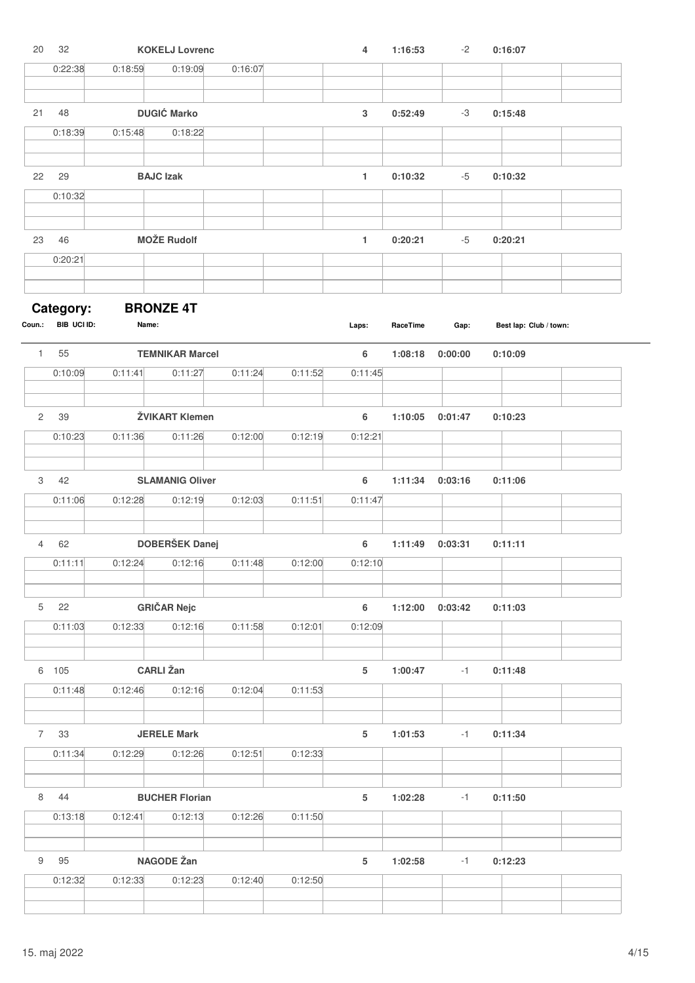| 20             | 32                       |         | <b>KOKELJ Lovrenc</b>             |         |         | $\overline{4}$ | 1:16:53  | $-2$    | 0:16:07                |
|----------------|--------------------------|---------|-----------------------------------|---------|---------|----------------|----------|---------|------------------------|
|                | 0:22:38                  | 0:18:59 | 0:19:09                           | 0:16:07 |         |                |          |         |                        |
|                |                          |         |                                   |         |         |                |          |         |                        |
| 21             | 48                       |         | <b>DUGIĆ Marko</b>                |         |         | $\mathbf 3$    | 0:52:49  | -3      | 0:15:48                |
|                | 0:18:39                  | 0:15:48 | 0:18:22                           |         |         |                |          |         |                        |
| 22             | 29                       |         | <b>BAJC Izak</b>                  |         |         | $\mathbf{1}$   | 0:10:32  | $-5$    | 0:10:32                |
|                | 0:10:32                  |         |                                   |         |         |                |          |         |                        |
|                |                          |         |                                   |         |         |                |          |         |                        |
| 23             | 46                       |         | <b>MOŽE Rudolf</b>                |         |         | 1              | 0:20:21  | $-5$    | 0:20:21                |
|                | 0:20:21                  |         |                                   |         |         |                |          |         |                        |
|                |                          |         |                                   |         |         |                |          |         |                        |
| Coun.:         | Category:<br>BIB UCI ID: | Name:   | <b>BRONZE 4T</b>                  |         |         | Laps:          | RaceTime | Gap:    | Best lap: Club / town: |
|                |                          |         |                                   |         |         |                |          |         |                        |
| $\mathbf{1}$   | 55<br>0:10:09            | 0:11:41 | <b>TEMNIKAR Marcel</b><br>0:11:27 | 0:11:24 | 0:11:52 | 6<br>0:11:45   | 1:08:18  | 0:00:00 | 0:10:09                |
|                |                          |         |                                   |         |         |                |          |         |                        |
| $\mathbf{2}$   | 39                       |         | ŽVIKART Klemen                    |         |         | 6              | 1:10:05  | 0:01:47 | 0:10:23                |
|                | 0:10:23                  | 0:11:36 | 0:11:26                           | 0:12:00 | 0:12:19 | 0:12:21        |          |         |                        |
|                |                          |         |                                   |         |         |                |          |         |                        |
| 3              | 42                       |         | <b>SLAMANIG Oliver</b>            |         |         | 6              | 1:11:34  | 0:03:16 | 0:11:06                |
|                | 0:11:06                  | 0:12:28 | 0:12:19                           | 0:12:03 | 0:11:51 | 0:11:47        |          |         |                        |
| 4              | 62                       |         | DOBERŠEK Danej                    |         |         |                | 1:11:49  |         |                        |
|                | 0:11:11                  | 0:12:24 | 0:12:16                           | 0:11:48 | 0:12:00 | 6<br>0:12:10   |          | 0:03:31 | 0:11:11                |
|                |                          |         |                                   |         |         |                |          |         |                        |
| 5 <sup>5</sup> | 22                       |         | <b>GRIČAR Nejc</b>                |         |         | 6              | 1:12:00  | 0:03:42 | 0:11:03                |
|                | 0:11:03                  | 0:12:33 | 0:12:16                           | 0:11:58 | 0:12:01 | 0:12:09        |          |         |                        |
|                |                          |         |                                   |         |         |                |          |         |                        |
|                | 6 105                    |         | <b>CARLI</b> Žan                  |         |         | $\sqrt{5}$     | 1:00:47  | $-1$    | 0:11:48                |
|                | 0:11:48                  | 0:12:46 | 0:12:16                           | 0:12:04 | 0:11:53 |                |          |         |                        |
|                |                          |         |                                   |         |         |                |          |         |                        |
| 7              | 33                       |         | <b>JERELE Mark</b>                |         |         | $\sqrt{5}$     | 1:01:53  | $-1$    | 0:11:34                |
|                | 0:11:34                  | 0:12:29 | 0:12:26                           | 0:12:51 | 0:12:33 |                |          |         |                        |
| 8              | 44                       |         | <b>BUCHER Florian</b>             |         |         | $\,$ 5 $\,$    | 1:02:28  | $-1$    | 0:11:50                |
|                | 0:13:18                  | 0:12:41 | 0:12:13                           | 0:12:26 | 0:11:50 |                |          |         |                        |
|                |                          |         |                                   |         |         |                |          |         |                        |
| 9              | 95                       |         | NAGODE Žan                        |         |         | $\sqrt{5}$     | 1:02:58  | $-1$    | 0:12:23                |
|                | 0:12:32                  | 0:12:33 | 0:12:23                           | 0:12:40 | 0:12:50 |                |          |         |                        |
|                |                          |         |                                   |         |         |                |          |         |                        |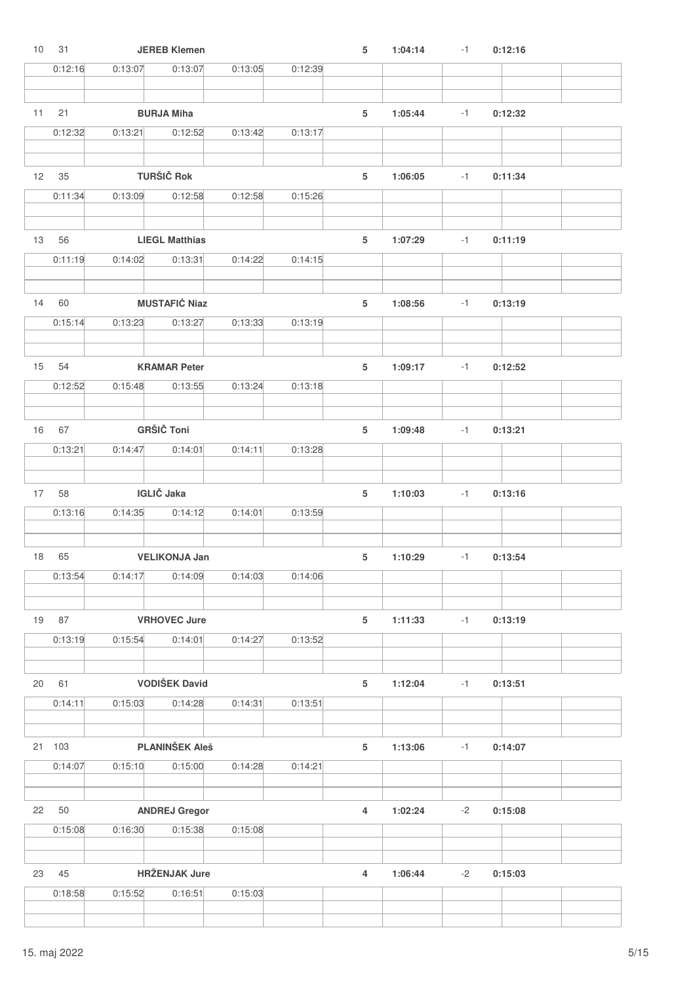| 10 | 31      |         | <b>JEREB Klemen</b>   |         |         | 5              | 1:04:14 | $-1$ | 0:12:16 |  |
|----|---------|---------|-----------------------|---------|---------|----------------|---------|------|---------|--|
|    | 0:12:16 | 0:13:07 | 0:13:07               | 0:13:05 | 0:12:39 |                |         |      |         |  |
|    |         |         |                       |         |         |                |         |      |         |  |
| 11 | 21      |         | <b>BURJA Miha</b>     |         |         | 5              | 1:05:44 | $-1$ | 0:12:32 |  |
|    | 0:12:32 | 0:13:21 | 0:12:52               | 0:13:42 | 0:13:17 |                |         |      |         |  |
|    |         |         |                       |         |         |                |         |      |         |  |
|    |         |         |                       |         |         |                |         |      |         |  |
| 12 | 35      |         | <b>TURŠIČ Rok</b>     |         |         | 5              | 1:06:05 | $-1$ | 0:11:34 |  |
|    | 0:11:34 | 0:13:09 | 0:12:58               | 0:12:58 | 0:15:26 |                |         |      |         |  |
|    |         |         |                       |         |         |                |         |      |         |  |
| 13 | 56      |         | <b>LIEGL Matthias</b> |         |         | 5              | 1:07:29 | $-1$ | 0:11:19 |  |
|    | 0:11:19 | 0:14:02 | 0:13:31               | 0:14:22 | 0:14:15 |                |         |      |         |  |
|    |         |         |                       |         |         |                |         |      |         |  |
| 14 | 60      |         | <b>MUSTAFIĆ Niaz</b>  |         |         | 5              | 1:08:56 | $-1$ | 0:13:19 |  |
|    | 0:15:14 | 0:13:23 | 0:13:27               | 0:13:33 | 0:13:19 |                |         |      |         |  |
|    |         |         |                       |         |         |                |         |      |         |  |
| 15 | 54      |         | <b>KRAMAR Peter</b>   |         |         | 5              | 1:09:17 | $-1$ | 0:12:52 |  |
|    | 0:12:52 | 0:15:48 | 0:13:55               | 0:13:24 | 0:13:18 |                |         |      |         |  |
|    |         |         |                       |         |         |                |         |      |         |  |
|    |         |         |                       |         |         |                |         |      |         |  |
| 16 | 67      |         | <b>GRŠIČ Toni</b>     |         |         | 5              | 1:09:48 | $-1$ | 0:13:21 |  |
|    | 0:13:21 | 0:14:47 | 0:14:01               | 0:14:11 | 0:13:28 |                |         |      |         |  |
|    |         |         |                       |         |         |                |         |      |         |  |
| 17 | 58      |         | <b>IGLIČ</b> Jaka     |         |         | 5              | 1:10:03 | $-1$ | 0:13:16 |  |
|    | 0:13:16 | 0:14:35 | 0:14:12               | 0:14:01 | 0:13:59 |                |         |      |         |  |
|    |         |         |                       |         |         |                |         |      |         |  |
| 18 | 65      |         | <b>VELIKONJA Jan</b>  |         |         | 5              | 1:10:29 | $-1$ | 0:13:54 |  |
|    | 0:13:54 | 0:14:17 | 0:14:09               | 0:14:03 | 0:14:06 |                |         |      |         |  |
|    |         |         |                       |         |         |                |         |      |         |  |
| 19 | 87      |         | <b>VRHOVEC Jure</b>   |         |         | 5              | 1:11:33 | $-1$ | 0:13:19 |  |
|    | 0:13:19 | 0:15:54 | 0:14:01               | 0:14:27 | 0:13:52 |                |         |      |         |  |
|    |         |         |                       |         |         |                |         |      |         |  |
|    |         |         |                       |         |         |                |         |      |         |  |
| 20 | 61      |         | <b>VODIŠEK David</b>  |         |         | $\sqrt{5}$     | 1:12:04 | $-1$ | 0:13:51 |  |
|    | 0:14:11 | 0:15:03 | 0:14:28               | 0:14:31 | 0:13:51 |                |         |      |         |  |
|    |         |         |                       |         |         |                |         |      |         |  |
|    | 21 103  |         | <b>PLANINŠEK Aleš</b> |         |         | $\sqrt{5}$     | 1:13:06 | $-1$ | 0:14:07 |  |
|    | 0:14:07 | 0:15:10 | 0:15:00               | 0:14:28 | 0:14:21 |                |         |      |         |  |
|    |         |         |                       |         |         |                |         |      |         |  |
| 22 | 50      |         | <b>ANDREJ Gregor</b>  |         |         | $\overline{4}$ | 1:02:24 | $-2$ | 0:15:08 |  |
|    | 0:15:08 | 0:16:30 | 0:15:38               | 0:15:08 |         |                |         |      |         |  |
|    |         |         |                       |         |         |                |         |      |         |  |
|    |         |         |                       |         |         |                |         |      |         |  |
| 23 | 45      |         | <b>HRŽENJAK Jure</b>  |         |         | $\overline{4}$ | 1:06:44 | $-2$ | 0:15:03 |  |
|    | 0:18:58 | 0:15:52 | 0:16:51               | 0:15:03 |         |                |         |      |         |  |
|    |         |         |                       |         |         |                |         |      |         |  |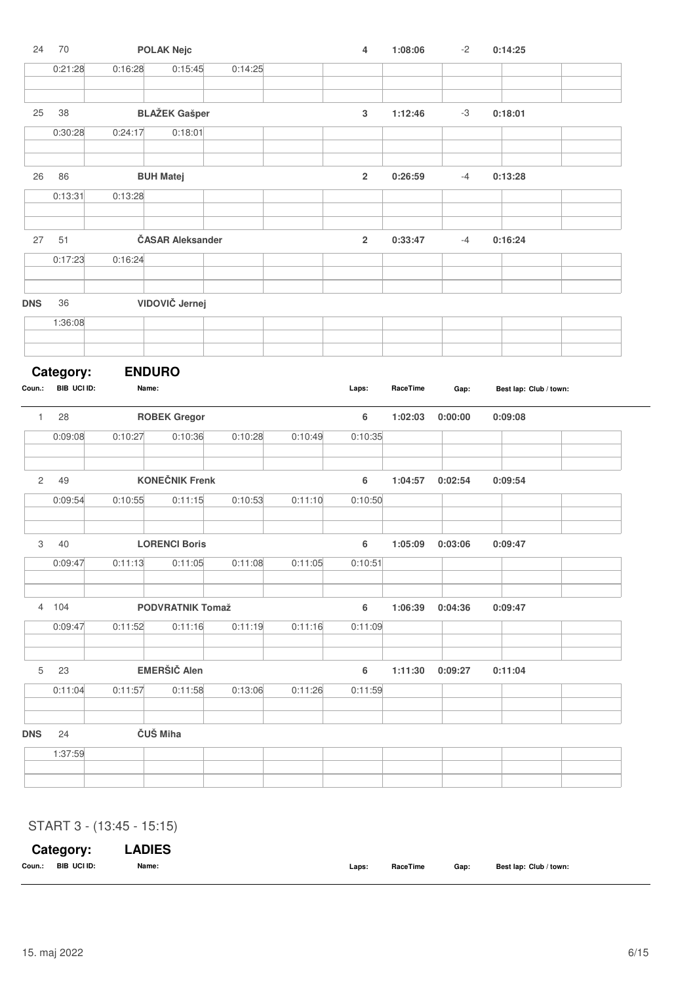| 24             | $70$        |               | <b>POLAK Nejc</b>       |         |         | $\overline{4}$            | 1:08:06  | $-2$    | 0:14:25                |  |
|----------------|-------------|---------------|-------------------------|---------|---------|---------------------------|----------|---------|------------------------|--|
|                | 0:21:28     | 0:16:28       | 0:15:45                 | 0:14:25 |         |                           |          |         |                        |  |
|                |             |               |                         |         |         |                           |          |         |                        |  |
|                |             |               |                         |         |         |                           |          |         |                        |  |
| 25             | 38          |               | <b>BLAŽEK Gašper</b>    |         |         | $\ensuremath{\mathsf{3}}$ | 1:12:46  | -3      | 0:18:01                |  |
|                | 0:30:28     | 0:24:17       | 0:18:01                 |         |         |                           |          |         |                        |  |
|                |             |               |                         |         |         |                           |          |         |                        |  |
| 26             | 86          |               | <b>BUH Matej</b>        |         |         | $\mathbf 2$               | 0:26:59  | $-4$    | 0:13:28                |  |
|                | 0:13:31     | 0:13:28       |                         |         |         |                           |          |         |                        |  |
|                |             |               |                         |         |         |                           |          |         |                        |  |
|                |             |               |                         |         |         |                           |          |         |                        |  |
| 27             | 51          |               | <b>ČASAR Aleksander</b> |         |         | $\overline{\mathbf{c}}$   | 0:33:47  | $-4$    | 0:16:24                |  |
|                | 0:17:23     | 0:16:24       |                         |         |         |                           |          |         |                        |  |
|                |             |               |                         |         |         |                           |          |         |                        |  |
| <b>DNS</b>     | 36          |               | VIDOVIČ Jernej          |         |         |                           |          |         |                        |  |
|                | 1:36:08     |               |                         |         |         |                           |          |         |                        |  |
|                |             |               |                         |         |         |                           |          |         |                        |  |
|                |             |               |                         |         |         |                           |          |         |                        |  |
|                | Category:   | <b>ENDURO</b> |                         |         |         |                           |          |         |                        |  |
| Coun.:         | BIB UCI ID: | Name:         |                         |         |         | Laps:                     | RaceTime | Gap:    | Best lap: Club / town: |  |
| $\mathbf{1}$   | 28          |               | <b>ROBEK Gregor</b>     |         |         | 6                         | 1:02:03  | 0:00:00 | 0:09:08                |  |
|                |             |               |                         |         |         |                           |          |         |                        |  |
|                | 0:09:08     | 0:10:27       | 0:10:36                 | 0:10:28 | 0:10:49 | 0:10:35                   |          |         |                        |  |
|                |             |               |                         |         |         |                           |          |         |                        |  |
| $\overline{c}$ | 49          |               | <b>KONEČNIK Frenk</b>   |         |         | $\boldsymbol{6}$          | 1:04:57  | 0:02:54 | 0:09:54                |  |
|                | 0:09:54     | 0:10:55       | 0:11:15                 | 0:10:53 | 0:11:10 | 0:10:50                   |          |         |                        |  |
|                |             |               |                         |         |         |                           |          |         |                        |  |
| 3              | 40          |               | <b>LORENCI Boris</b>    |         |         | 6                         | 1:05:09  | 0:03:06 | 0:09:47                |  |
|                | 0:09:47     | 0:11:13       | 0:11:05                 | 0:11:08 | 0:11:05 | 0:10:51                   |          |         |                        |  |
|                |             |               |                         |         |         |                           |          |         |                        |  |
|                |             |               |                         |         |         |                           |          |         |                        |  |
|                | 4 104       |               | <b>PODVRATNIK Tomaž</b> |         |         | $\boldsymbol{6}$          | 1:06:39  | 0:04:36 | 0:09:47                |  |
|                | 0:09:47     | 0:11:52       | 0:11:16                 | 0:11:19 | 0:11:16 | 0:11:09                   |          |         |                        |  |
|                |             |               |                         |         |         |                           |          |         |                        |  |
| $5\,$          | 23          |               | <b>EMERŠIČ Alen</b>     |         |         | $\boldsymbol{6}$          | 1:11:30  | 0:09:27 | 0:11:04                |  |
|                |             |               |                         |         |         |                           |          |         |                        |  |
|                | 0:11:04     | 0:11:57       | 0:11:58                 | 0:13:06 | 0:11:26 | 0:11:59                   |          |         |                        |  |
|                |             |               |                         |         |         |                           |          |         |                        |  |
| <b>DNS</b>     | 24          | ČUŠ Miha      |                         |         |         |                           |          |         |                        |  |
|                | 1:37:59     |               |                         |         |         |                           |          |         |                        |  |
|                |             |               |                         |         |         |                           |          |         |                        |  |
|                |             |               |                         |         |         |                           |          |         |                        |  |

### START 3 - (13:45 - 15:15)

|        | Category:   | <b>LADIES</b> |       |          |      |                        |
|--------|-------------|---------------|-------|----------|------|------------------------|
| Coun.: | BIB UCI ID: | Name:         | Laps: | RaceTime | Gap: | Best lap: Club / town: |
|        |             |               |       |          |      |                        |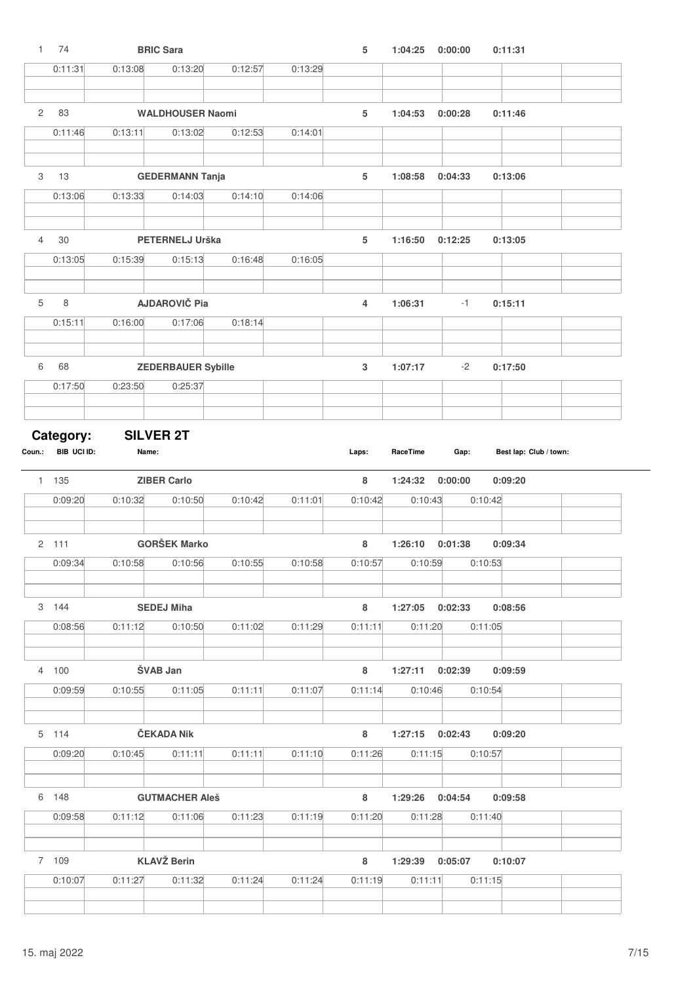| $\mathbf{1}$   | 74                       |                  | <b>BRIC Sara</b>          |         |         | 5              | 1:04:25             | 0:00:00 | 0:11:31                |  |
|----------------|--------------------------|------------------|---------------------------|---------|---------|----------------|---------------------|---------|------------------------|--|
|                | 0:11:31                  | 0:13:08          | 0:13:20                   | 0:12:57 | 0:13:29 |                |                     |         |                        |  |
| $\overline{c}$ | 83                       |                  | <b>WALDHOUSER Naomi</b>   |         |         | 5              | 1:04:53             | 0:00:28 | 0:11:46                |  |
|                | 0:11:46                  | 0:13:11          | 0:13:02                   | 0:12:53 | 0:14:01 |                |                     |         |                        |  |
|                |                          |                  |                           |         |         |                |                     |         |                        |  |
| 3              | 13                       |                  | <b>GEDERMANN Tanja</b>    |         |         | 5              | 1:08:58             | 0:04:33 | 0:13:06                |  |
|                | 0:13:06                  | 0:13:33          | 0:14:03                   | 0:14:10 | 0:14:06 |                |                     |         |                        |  |
|                |                          |                  |                           |         |         |                |                     |         |                        |  |
| $\overline{4}$ | 30                       |                  | PETERNELJ Urška           |         |         | 5              | 1:16:50             | 0:12:25 | 0:13:05                |  |
|                | 0:13:05                  | 0:15:39          | 0:15:13                   | 0:16:48 | 0:16:05 |                |                     |         |                        |  |
| $\,$ 5 $\,$    | 8                        |                  | <b>AJDAROVIČ Pia</b>      |         |         | $\overline{4}$ | 1:06:31             | $-1$    | 0:15:11                |  |
|                | 0:15:11                  | 0:16:00          | 0:17:06                   | 0:18:14 |         |                |                     |         |                        |  |
|                |                          |                  |                           |         |         |                |                     |         |                        |  |
| 6              | 68                       |                  | <b>ZEDERBAUER Sybille</b> |         |         | $\mathbf 3$    | 1:07:17             | $-2$    | 0:17:50                |  |
|                | 0:17:50                  | 0:23:50          | 0:25:37                   |         |         |                |                     |         |                        |  |
|                |                          | <b>SILVER 2T</b> |                           |         |         |                |                     |         |                        |  |
| Coun.:         | Category:<br>BIB UCI ID: | Name:            |                           |         |         | Laps:          | RaceTime            | Gap:    | Best lap: Club / town: |  |
|                | 1 135                    |                  | <b>ZIBER Carlo</b>        |         |         | 8              | 1:24:32             | 0:00:00 | 0:09:20                |  |
|                | 0:09:20                  | 0:10:32          | 0:10:50                   | 0:10:42 | 0:11:01 | 0:10:42        | 0:10:43             |         | 0:10:42                |  |
|                | 2, 111                   |                  | <b>GORŠEK Marko</b>       |         |         | 8              | 1:26:10             | 0:01:38 | 0:09:34                |  |
|                | 0:09:34                  | 0:10:58          | 0:10:56                   | 0:10:55 | 0:10:58 | 0:10:57        | 0:10:59             |         | 0:10:53                |  |
|                |                          |                  |                           |         |         |                |                     |         |                        |  |
|                | 3 144                    |                  | <b>SEDEJ Miha</b>         |         |         | 8              | 1:27:05 0:02:33     |         | 0:08:56                |  |
|                | 0:08:56                  | 0:11:12          | 0:10:50                   | 0:11:02 | 0:11:29 | 0:11:11        | 0:11:20             |         | 0:11:05                |  |
|                | 4 100                    |                  | <b>SVAB Jan</b>           |         |         | 8              | $1:27:11$ $0:02:39$ |         | 0:09:59                |  |
|                | 0:09:59                  | 0:10:55          | 0:11:05                   | 0:11:11 | 0:11:07 | 0:11:14        | 0:10:46             |         | 0:10:54                |  |
|                |                          |                  |                           |         |         |                |                     |         |                        |  |
|                | 5 114                    |                  | ČEKADA Nik                |         |         | 8              | 1:27:15 0:02:43     |         | 0:09:20                |  |
|                | 0:09:20                  | 0:10:45          | 0:11:11                   | 0:11:11 | 0:11:10 | 0:11:26        | 0:11:15             |         | 0:10:57                |  |
|                | 6 148                    |                  | <b>GUTMACHER Aleš</b>     |         |         | 8              | 1:29:26             | 0:04:54 | 0:09:58                |  |
|                | 0:09:58                  | 0:11:12          | 0:11:06                   | 0:11:23 | 0:11:19 | 0:11:20        | 0:11:28             |         | 0:11:40                |  |
|                |                          |                  |                           |         |         |                |                     |         |                        |  |
|                |                          |                  |                           |         |         |                |                     |         |                        |  |
|                | 7 109                    |                  | <b>KLAVŽ Berin</b>        |         |         | 8              | 1:29:39 0:05:07     |         | 0:10:07                |  |
|                | 0:10:07                  | 0:11:27          | 0:11:32                   | 0:11:24 | 0:11:24 | 0:11:19        | 0:11:11             |         | 0:11:15                |  |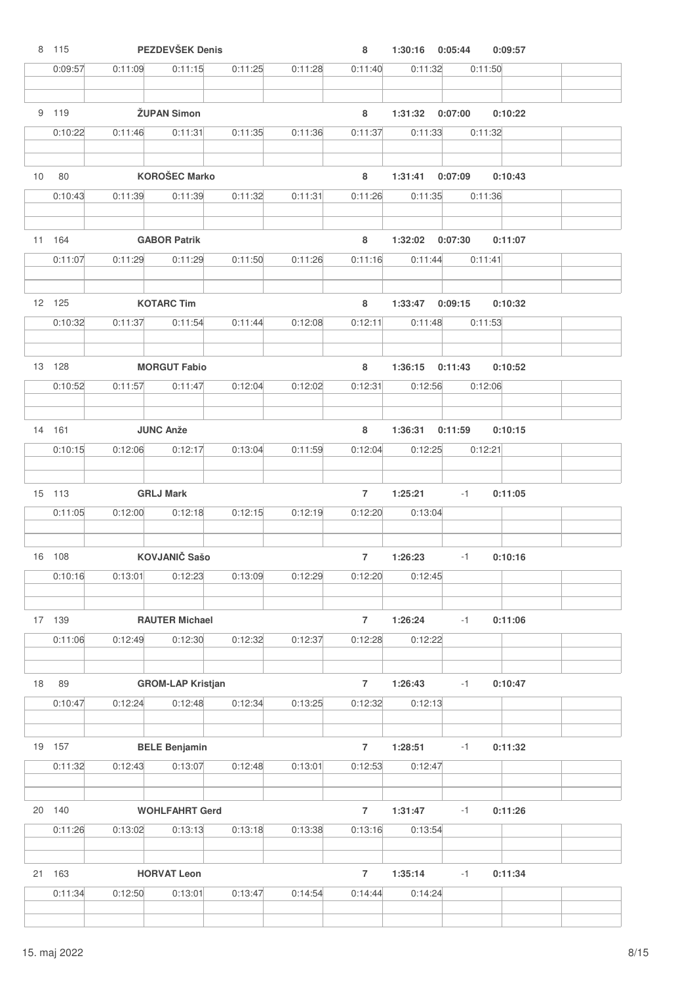|                 | 8 115         |         | PEZDEVŠEK Denis                     |         |         | 8                         | 1:30:16 0:05:44     |         | 0:09:57 |  |
|-----------------|---------------|---------|-------------------------------------|---------|---------|---------------------------|---------------------|---------|---------|--|
|                 | 0:09:57       | 0:11:09 | 0:11:15                             | 0:11:25 | 0:11:28 | 0:11:40                   | 0:11:32             |         | 0:11:50 |  |
|                 | 9 119         |         | <b>ŽUPAN Simon</b>                  |         |         | 8                         | 1:31:32 0:07:00     |         | 0:10:22 |  |
|                 |               |         | 0:11:31                             |         |         |                           |                     |         |         |  |
|                 | 0:10:22       | 0:11:46 |                                     | 0:11:35 | 0:11:36 | 0:11:37                   | 0:11:33             |         | 0:11:32 |  |
| 10 <sup>1</sup> | 80            |         | <b>KOROŠEC Marko</b>                |         |         | 8                         | 1:31:41 0:07:09     |         | 0:10:43 |  |
|                 | 0:10:43       | 0:11:39 | 0:11:39                             | 0:11:32 | 0:11:31 | 0:11:26                   | 0:11:35             |         | 0:11:36 |  |
|                 |               |         |                                     |         |         |                           |                     |         |         |  |
|                 | 11 164        |         | <b>GABOR Patrik</b>                 |         |         | 8                         | 1:32:02  0:07:30    |         | 0:11:07 |  |
|                 | 0:11:07       | 0:11:29 | 0:11:29                             | 0:11:50 | 0:11:26 | 0:11:16                   | 0:11:44             |         | 0:11:41 |  |
|                 | 12 125        |         | <b>KOTARC Tim</b>                   |         |         | 8                         | 1:33:47             | 0:09:15 | 0:10:32 |  |
|                 | 0:10:32       | 0:11:37 | 0:11:54                             | 0:11:44 | 0:12:08 | 0:12:11                   | 0:11:48             |         | 0:11:53 |  |
|                 |               |         |                                     |         |         |                           |                     |         |         |  |
|                 | 13 128        |         | <b>MORGUT Fabio</b>                 |         |         | 8                         | $1:36:15$ $0:11:43$ |         | 0:10:52 |  |
|                 | 0:10:52       | 0:11:57 | 0:11:47                             | 0:12:04 | 0:12:02 | 0:12:31                   | 0:12:56             |         | 0:12:06 |  |
|                 | 14 161        |         | <b>JUNC Anže</b>                    |         |         | 8                         | 1:36:31             | 0:11:59 | 0:10:15 |  |
|                 | 0:10:15       | 0:12:06 | 0:12:17                             | 0:13:04 | 0:11:59 | 0:12:04                   | 0:12:25             |         | 0:12:21 |  |
|                 |               |         |                                     |         |         |                           |                     |         |         |  |
|                 | 15 113        |         | <b>GRLJ Mark</b>                    |         |         | $\overline{7}$            | 1:25:21             | $-1$    | 0:11:05 |  |
|                 | 0:11:05       | 0:12:00 | 0:12:18                             | 0:12:15 | 0:12:19 | 0:12:20                   | 0:13:04             |         |         |  |
|                 | 16 108        |         | <b>KOVJANIČ Sašo</b>                |         |         | $\overline{7}$            | 1:26:23             | $-1$    | 0:10:16 |  |
|                 | 0:10:16       |         | 0:12:23                             |         |         | 0:12:20                   |                     |         |         |  |
|                 |               | 0:13:01 |                                     | 0:13:09 | 0:12:29 |                           | 0:12:45             |         |         |  |
|                 | 17 139        |         | <b>RAUTER Michael</b>               |         |         | $\overline{7}$            | 1:26:24             | $-1$    | 0:11:06 |  |
|                 | 0:11:06       | 0:12:49 | 0:12:30                             | 0:12:32 | 0:12:37 | 0:12:28                   | 0:12:22             |         |         |  |
|                 |               |         |                                     |         |         |                           |                     |         |         |  |
| 18              | 89<br>0:10:47 | 0:12:24 | <b>GROM-LAP Kristjan</b><br>0:12:48 | 0:12:34 | 0:13:25 | $\overline{7}$<br>0:12:32 | 1:26:43<br>0:12:13  | $-1$    | 0:10:47 |  |
|                 |               |         |                                     |         |         |                           |                     |         |         |  |
|                 | 19 157        |         | <b>BELE Benjamin</b>                |         |         | $\overline{7}$            | 1:28:51             | $-1$    | 0:11:32 |  |
|                 | 0:11:32       | 0:12:43 | 0:13:07                             | 0:12:48 | 0:13:01 | 0:12:53                   | 0:12:47             |         |         |  |
|                 | 20 140        |         | <b>WOHLFAHRT Gerd</b>               |         |         | $\overline{7}$            | 1:31:47             | $-1$    | 0:11:26 |  |
|                 |               |         |                                     |         |         |                           |                     |         |         |  |
|                 | 0:11:26       | 0:13:02 | 0:13:13                             | 0:13:18 | 0:13:38 | 0:13:16                   | 0:13:54             |         |         |  |
|                 | 21 163        |         | <b>HORVAT Leon</b>                  |         |         | $\overline{7}$            | 1:35:14             | -1      | 0:11:34 |  |
|                 | 0:11:34       | 0:12:50 | 0:13:01                             | 0:13:47 | 0:14:54 | 0:14:44                   | 0:14:24             |         |         |  |
|                 |               |         |                                     |         |         |                           |                     |         |         |  |

 $\overline{\phantom{a}}$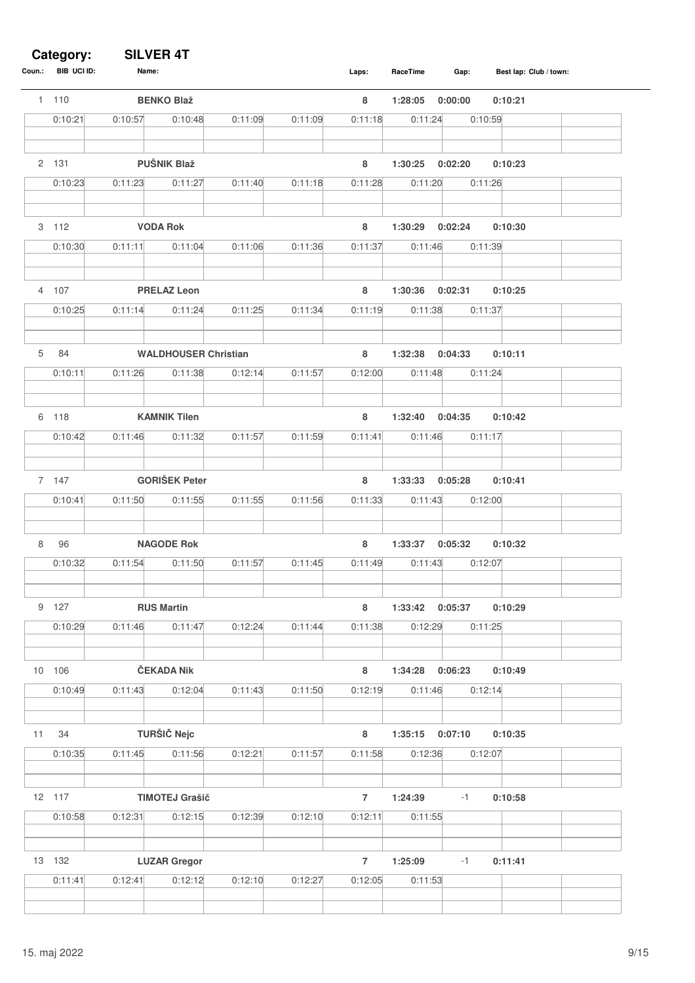#### **Category: SILVER 4T**

| Coun.: | BIB UCI ID: | Name:   |                             |         |         | Laps:          | RaceTime         | Gap:    | Best lap: Club / town: |
|--------|-------------|---------|-----------------------------|---------|---------|----------------|------------------|---------|------------------------|
|        | 1 110       |         | <b>BENKO Blaž</b>           |         |         | 8              | 1:28:05          | 0:00:00 | 0:10:21                |
|        | 0:10:21     | 0:10:57 | 0:10:48                     | 0:11:09 | 0:11:09 | 0:11:18        | 0:11:24          | 0:10:59 |                        |
|        | 2 131       |         | <b>PUŠNIK Blaž</b>          |         |         | 8              | 1:30:25          | 0:02:20 | 0:10:23                |
|        | 0:10:23     | 0:11:23 | 0:11:27                     | 0:11:40 | 0:11:18 | 0:11:28        | 0:11:20          | 0:11:26 |                        |
|        |             |         |                             |         |         |                |                  |         |                        |
|        | 3 112       |         | <b>VODA Rok</b>             |         |         | 8              | 1:30:29          | 0:02:24 | 0:10:30                |
|        | 0:10:30     | 0:11:11 | 0:11:04                     | 0:11:06 | 0:11:36 | 0:11:37        | 0:11:46          | 0:11:39 |                        |
|        | 4 107       |         | <b>PRELAZ Leon</b>          |         |         | 8              | 1:30:36          | 0:02:31 | 0:10:25                |
|        | 0:10:25     | 0:11:14 | 0:11:24                     | 0:11:25 | 0:11:34 | 0:11:19        | 0:11:38          | 0:11:37 |                        |
| 5      | 84          |         | <b>WALDHOUSER Christian</b> |         |         | 8              | 1:32:38          | 0:04:33 | 0:10:11                |
|        | 0:10:11     | 0:11:26 | 0:11:38                     | 0:12:14 | 0:11:57 | 0:12:00        | 0:11:48          | 0:11:24 |                        |
|        |             |         |                             |         |         |                |                  |         |                        |
|        | 6 118       |         | <b>KAMNIK Tilen</b>         |         |         | 8              | 1:32:40          | 0:04:35 | 0:10:42                |
|        | 0:10:42     | 0:11:46 | 0:11:32                     | 0:11:57 | 0:11:59 | 0:11:41        | 0:11:46          | 0:11:17 |                        |
|        |             |         |                             |         |         |                |                  |         |                        |
|        | 7 147       |         | <b>GORIŠEK Peter</b>        |         |         | 8              | 1:33:33          | 0:05:28 | 0:10:41                |
|        | 0:10:41     | 0:11:50 | 0:11:55                     | 0:11:55 | 0:11:56 | 0:11:33        | 0:11:43          | 0:12:00 |                        |
|        |             |         |                             |         |         |                |                  |         |                        |
| 8      | 96          |         | <b>NAGODE Rok</b>           |         |         | 8              | 1:33:37          | 0:05:32 | 0:10:32                |
|        | 0:10:32     | 0:11:54 | 0:11:50                     | 0:11:57 | 0:11:45 | 0:11:49        | 0:11:43          | 0:12:07 |                        |
|        |             |         |                             |         |         |                |                  |         |                        |
| 9      | 127         |         | <b>RUS Martin</b>           |         |         | 8              | 1:33:42          | 0:05:37 | 0:10:29                |
|        | 0:10:29     | 0:11:46 | 0:11:47                     | 0:12:24 | 0:11:44 | 0:11:38        | 0:12:29          | 0:11:25 |                        |
|        | 10 106      |         | ČEKADA Nik                  |         |         | $\bf8$         | 1:34:28          | 0:06:23 | 0:10:49                |
|        | 0:10:49     | 0:11:43 | 0:12:04                     | 0:11:43 | 0:11:50 | 0:12:19        | 0:11:46          | 0:12:14 |                        |
|        |             |         |                             |         |         |                |                  |         |                        |
| 11     | 34          |         | <b>TURŠIČ Nejc</b>          |         |         | $\bf 8$        | 1:35:15  0:07:10 |         | 0:10:35                |
|        | 0:10:35     | 0:11:45 | 0:11:56                     | 0:12:21 | 0:11:57 | 0:11:58        | 0:12:36          | 0:12:07 |                        |
|        | 12 117      |         | <b>TIMOTEJ Grašič</b>       |         |         | $\overline{7}$ | 1:24:39          | $-1$    | 0:10:58                |
|        | 0:10:58     | 0:12:31 | 0:12:15                     | 0:12:39 | 0:12:10 | 0:12:11        | 0:11:55          |         |                        |
|        |             |         |                             |         |         |                |                  |         |                        |
|        | 13 132      |         | <b>LUZAR Gregor</b>         |         |         | $\overline{7}$ | 1:25:09          | $-1$    | 0:11:41                |
|        | 0:11:41     | 0:12:41 | 0:12:12                     | 0:12:10 | 0:12:27 | 0:12:05        | 0:11:53          |         |                        |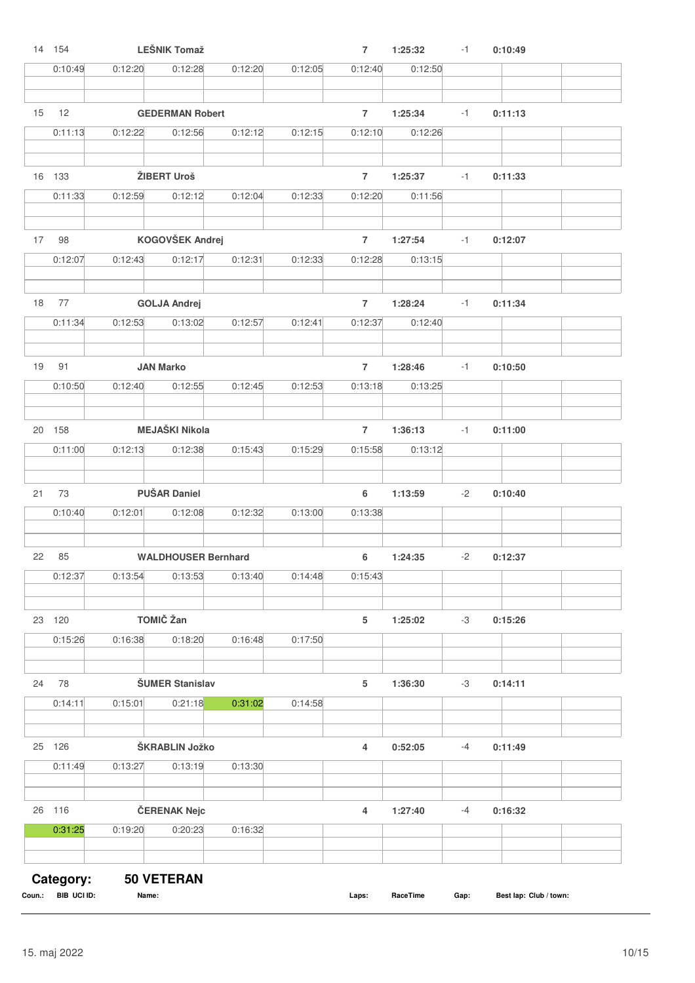|    | 14 154  |         | <b>LEŠNIK Tomaž</b>        |         |         | $\overline{7}$ | 1:25:32 | $-1$ | 0:10:49 |  |
|----|---------|---------|----------------------------|---------|---------|----------------|---------|------|---------|--|
|    | 0:10:49 | 0:12:20 | 0:12:28                    | 0:12:20 | 0:12:05 | 0:12:40        | 0:12:50 |      |         |  |
|    |         |         |                            |         |         |                |         |      |         |  |
| 15 | 12      |         | <b>GEDERMAN Robert</b>     |         |         | $\overline{7}$ | 1:25:34 | $-1$ | 0:11:13 |  |
|    | 0:11:13 | 0:12:22 | 0:12:56                    | 0:12:12 | 0:12:15 | 0:12:10        | 0:12:26 |      |         |  |
|    |         |         |                            |         |         |                |         |      |         |  |
|    | 16 133  |         | ŽIBERT Uroš                |         |         | $\overline{7}$ | 1:25:37 | $-1$ | 0:11:33 |  |
|    | 0:11:33 | 0:12:59 | 0:12:12                    | 0:12:04 | 0:12:33 | 0:12:20        | 0:11:56 |      |         |  |
|    |         |         |                            |         |         |                |         |      |         |  |
| 17 | 98      |         | KOGOVŠEK Andrej            |         |         | $\overline{7}$ | 1:27:54 | $-1$ | 0:12:07 |  |
|    | 0:12:07 | 0:12:43 | 0:12:17                    | 0:12:31 | 0:12:33 | 0:12:28        | 0:13:15 |      |         |  |
|    |         |         |                            |         |         |                |         |      |         |  |
| 18 | 77      |         | <b>GOLJA Andrej</b>        |         |         | $\overline{7}$ | 1:28:24 | $-1$ | 0:11:34 |  |
|    | 0:11:34 | 0:12:53 | 0:13:02                    | 0:12:57 | 0:12:41 | 0:12:37        | 0:12:40 |      |         |  |
|    |         |         |                            |         |         |                |         |      |         |  |
| 19 | 91      |         | <b>JAN Marko</b>           |         |         | $\overline{7}$ | 1:28:46 | $-1$ | 0:10:50 |  |
|    | 0:10:50 | 0:12:40 | 0:12:55                    | 0:12:45 | 0:12:53 | 0:13:18        | 0:13:25 |      |         |  |
|    |         |         |                            |         |         |                |         |      |         |  |
|    | 20 158  |         | <b>MEJAŠKI Nikola</b>      |         |         | $\overline{7}$ | 1:36:13 | -1   | 0:11:00 |  |
|    | 0:11:00 | 0:12:13 | 0:12:38                    | 0:15:43 | 0:15:29 | 0:15:58        | 0:13:12 |      |         |  |
|    |         |         |                            |         |         |                |         |      |         |  |
| 21 | 73      |         | <b>PUŠAR Daniel</b>        |         |         | 6              | 1:13:59 | -2   | 0:10:40 |  |
|    | 0:10:40 | 0:12:01 | 0:12:08                    | 0:12:32 | 0:13:00 | 0:13:38        |         |      |         |  |
|    |         |         |                            |         |         |                |         |      |         |  |
| 22 | 85      |         | <b>WALDHOUSER Bernhard</b> |         |         | 6              | 1:24:35 | $-2$ | 0:12:37 |  |
|    | 0:12:37 | 0:13:54 | 0:13:53                    | 0:13:40 | 0:14:48 | 0:15:43        |         |      |         |  |
|    |         |         |                            |         |         |                |         |      |         |  |
|    | 23 120  |         | TOMIČ Žan                  |         |         | 5              | 1:25:02 | -3   | 0:15:26 |  |
|    | 0:15:26 | 0:16:38 | 0:18:20                    | 0:16:48 | 0:17:50 |                |         |      |         |  |
|    |         |         |                            |         |         |                |         |      |         |  |
| 24 | 78      |         | <b>ŠUMER Stanislav</b>     |         |         | 5              | 1:36:30 | -3   | 0:14:11 |  |
|    | 0:14:11 | 0:15:01 | 0:21:18                    | 0:31:02 | 0:14:58 |                |         |      |         |  |
|    | 25 126  |         | ŠKRABLIN Jožko             |         |         |                |         |      |         |  |
|    | 0:11:49 | 0:13:27 |                            | 0:13:30 |         | 4              | 0:52:05 | $-4$ | 0:11:49 |  |
|    |         |         | 0:13:19                    |         |         |                |         |      |         |  |
|    | 26 116  |         | ČERENAK Nejc               |         |         | 4              | 1:27:40 | -4   | 0:16:32 |  |
|    | 0:31:25 | 0:19:20 | 0:20:23                    | 0:16:32 |         |                |         |      |         |  |
|    |         |         |                            |         |         |                |         |      |         |  |
|    |         |         |                            |         |         |                |         |      |         |  |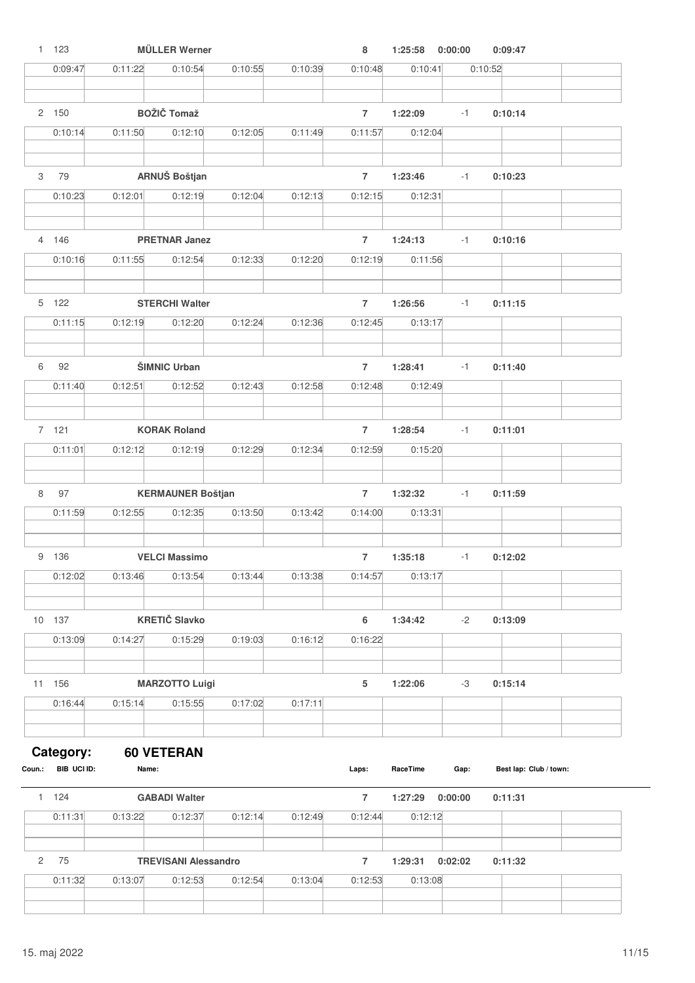|                | 1 123                    |         | <b>MÜLLER Werner</b>        |         |         | 8              | 1:25:58  | 0:00:00 | 0:09:47                |
|----------------|--------------------------|---------|-----------------------------|---------|---------|----------------|----------|---------|------------------------|
|                | 0:09:47                  | 0:11:22 | 0:10:54                     | 0:10:55 | 0:10:39 | 0:10:48        | 0:10:41  |         | 0:10:52                |
|                |                          |         |                             |         |         |                |          |         |                        |
|                | 2 150                    |         | <b>BOŽIČ Tomaž</b>          |         |         | $\overline{7}$ | 1:22:09  | $-1$    | 0:10:14                |
|                | 0:10:14                  | 0:11:50 | 0:12:10                     | 0:12:05 | 0:11:49 | 0:11:57        | 0:12:04  |         |                        |
| 3              | 79                       |         | ARNUŠ Boštjan               |         |         | $\overline{7}$ | 1:23:46  | $-1$    | 0:10:23                |
|                | 0:10:23                  | 0:12:01 | 0:12:19                     | 0:12:04 | 0:12:13 | 0:12:15        | 0:12:31  |         |                        |
|                |                          |         |                             |         |         |                |          |         |                        |
|                | 4 146                    |         | <b>PRETNAR Janez</b>        |         |         | $\overline{7}$ | 1:24:13  | $-1$    | 0:10:16                |
|                | 0:10:16                  | 0:11:55 | 0:12:54                     | 0:12:33 | 0:12:20 | 0:12:19        | 0:11:56  |         |                        |
|                |                          |         |                             |         |         |                |          |         |                        |
|                | 5 122                    |         | <b>STERCHI Walter</b>       |         |         | $\overline{7}$ | 1:26:56  | $-1$    | 0:11:15                |
|                | 0:11:15                  | 0:12:19 | 0:12:20                     | 0:12:24 | 0:12:36 | 0:12:45        | 0:13:17  |         |                        |
| 6              | 92                       |         | ŠIMNIC Urban                |         |         | $\overline{7}$ | 1:28:41  | $-1$    | 0:11:40                |
|                | 0:11:40                  | 0:12:51 | 0:12:52                     | 0:12:43 | 0:12:58 | 0:12:48        | 0:12:49  |         |                        |
|                |                          |         |                             |         |         |                |          |         |                        |
|                | 7 121                    |         | <b>KORAK Roland</b>         |         |         | $\overline{7}$ | 1:28:54  | $-1$    | 0:11:01                |
|                | 0:11:01                  | 0:12:12 | 0:12:19                     | 0:12:29 | 0:12:34 | 0:12:59        | 0:15:20  |         |                        |
| 8              | 97                       |         | <b>KERMAUNER Boštjan</b>    |         |         | $\overline{7}$ | 1:32:32  | $-1$    | 0:11:59                |
|                | 0:11:59                  | 0:12:55 | 0:12:35                     | 0:13:50 | 0:13:42 | 0:14:00        | 0:13:31  |         |                        |
|                |                          |         |                             |         |         |                |          |         |                        |
|                | 9 136                    |         | <b>VELCI Massimo</b>        |         |         | $\overline{7}$ | 1:35:18  | $-1$    | 0:12:02                |
|                | 0:12:02                  | 0:13:46 | 0:13:54                     | 0:13:44 | 0:13:38 | 0:14:57        | 0:13:17  |         |                        |
|                | 10 137                   |         | <b>KRETIČ Slavko</b>        |         |         | 6              | 1:34:42  | $-2$    | 0:13:09                |
|                | 0:13:09                  | 0:14:27 | 0:15:29                     | 0:19:03 | 0:16:12 | 0:16:22        |          |         |                        |
|                |                          |         |                             |         |         |                |          |         |                        |
|                | 11 156                   |         | <b>MARZOTTO Luigi</b>       |         |         | 5              | 1:22:06  | -3      | 0:15:14                |
|                | 0:16:44                  | 0:15:14 | 0:15:55                     | 0:17:02 | 0:17:11 |                |          |         |                        |
|                |                          |         |                             |         |         |                |          |         |                        |
| Coun.:         | Category:<br>BIB UCI ID: | Name:   | <b>60 VETERAN</b>           |         |         | Laps:          | RaceTime | Gap:    | Best lap: Club / town: |
|                | 1 124                    |         | <b>GABADI Walter</b>        |         |         | $\overline{7}$ | 1:27:29  | 0:00:00 | 0:11:31                |
|                | 0:11:31                  | 0:13:22 | 0:12:37                     | 0:12:14 | 0:12:49 | 0:12:44        | 0:12:12  |         |                        |
|                |                          |         |                             |         |         |                |          |         |                        |
| $\overline{c}$ | 75                       |         | <b>TREVISANI Alessandro</b> |         |         | $\overline{7}$ | 1:29:31  | 0:02:02 | 0:11:32                |
|                | 0:11:32                  | 0:13:07 | 0:12:53                     | 0:12:54 | 0:13:04 | 0:12:53        | 0:13:08  |         |                        |
|                |                          |         |                             |         |         |                |          |         |                        |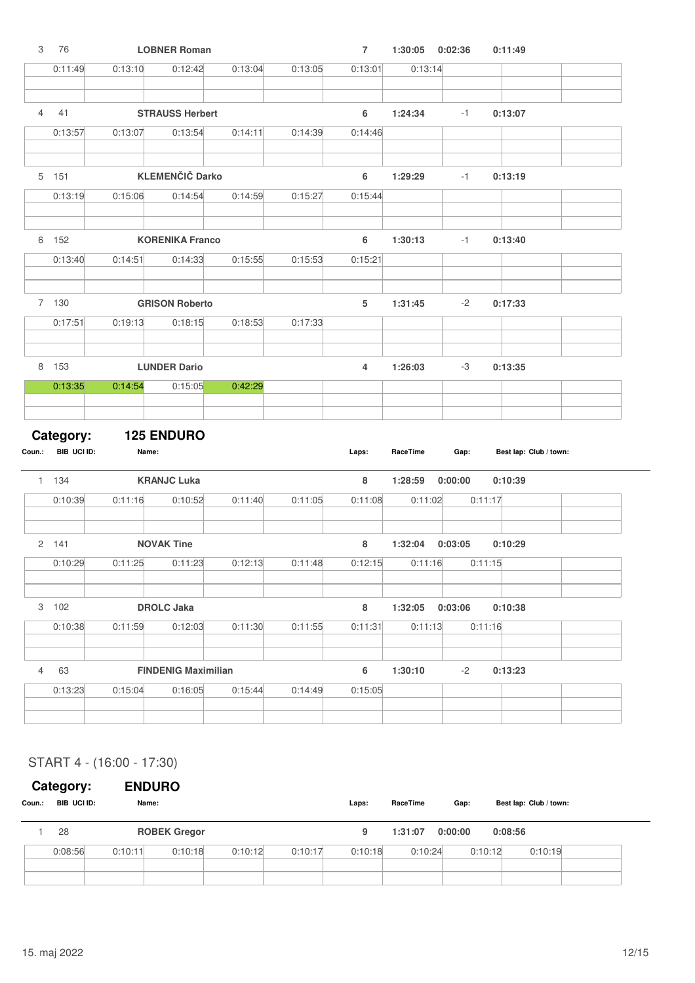| 3              | 76                 |                   | <b>LOBNER Roman</b>           |         |         | $\overline{7}$ | 1:30:05                       | 0:02:36                   | 0:11:49                |
|----------------|--------------------|-------------------|-------------------------------|---------|---------|----------------|-------------------------------|---------------------------|------------------------|
|                | 0:11:49            | 0:13:10           | 0:12:42                       | 0:13:04 | 0:13:05 | 0:13:01        | 0:13:14                       |                           |                        |
|                |                    |                   |                               |         |         |                |                               |                           |                        |
| $\overline{4}$ | 41                 |                   | <b>STRAUSS Herbert</b>        |         |         | 6              | 1:24:34                       | $-1$                      | 0:13:07                |
|                | 0:13:57            | 0:13:07           | 0:13:54                       | 0:14:11 | 0:14:39 | 0:14:46        |                               |                           |                        |
|                |                    |                   |                               |         |         |                |                               |                           |                        |
|                | 5 151              |                   | <b>KLEMENČIČ Darko</b>        |         |         | 6              | 1:29:29                       | $-1$                      | 0:13:19                |
|                | 0:13:19            | 0:15:06           | 0:14:54                       | 0:14:59 | 0:15:27 | 0:15:44        |                               |                           |                        |
|                |                    |                   |                               |         |         |                |                               |                           |                        |
|                | 6 152              |                   | <b>KORENIKA Franco</b>        |         |         | 6              | 1:30:13                       | $-1$                      | 0:13:40                |
|                | 0:13:40            | 0:14:51           | 0:14:33                       | 0:15:55 | 0:15:53 | 0:15:21        |                               |                           |                        |
|                |                    |                   |                               |         |         |                |                               |                           |                        |
|                | 7 130              |                   | <b>GRISON Roberto</b>         |         |         | 5              | 1:31:45                       | $-2$                      | 0:17:33                |
|                | 0:17:51            | 0:19:13           | 0:18:15                       | 0:18:53 | 0:17:33 |                |                               |                           |                        |
|                |                    |                   |                               |         |         |                |                               |                           |                        |
|                | 8 153              |                   | <b>LUNDER Dario</b>           |         |         | $\overline{4}$ | 1:26:03                       | -3                        | 0:13:35                |
|                | 0:13:35            | 0:14:54           | 0:15:05                       | 0:42:29 |         |                |                               |                           |                        |
|                |                    |                   |                               |         |         |                |                               |                           |                        |
|                | Category:          | <b>125 ENDURO</b> |                               |         |         |                |                               |                           |                        |
|                | Coun.: BIB UCI ID: |                   |                               |         |         |                |                               |                           |                        |
|                |                    | Name:             |                               |         |         | Laps:          | RaceTime                      | Gap:                      | Best lap: Club / town: |
|                |                    |                   |                               |         |         |                |                               |                           |                        |
|                | 1 134              |                   | <b>KRANJC Luka</b>            |         |         | 8              | 1:28:59                       | 0:00:00                   | 0:10:39                |
|                | 0:10:39            | 0:11:16           | 0:10:52                       | 0:11:40 | 0:11:05 | 0:11:08        | 0:11:02                       |                           | 0:11:17                |
|                |                    |                   |                               |         |         |                |                               |                           |                        |
|                | 2 141              |                   | <b>NOVAK Tine</b>             |         |         | 8              | 1:32:04                       | 0:03:05                   | 0:10:29                |
|                | 0:10:29            |                   | $0:11:25$ $0:11:23$ $0:12:13$ |         | 0:11:48 |                | $0:12:15$ $0:11:16$ $0:11:15$ |                           |                        |
|                |                    |                   |                               |         |         |                |                               |                           |                        |
|                | 3 102              |                   | <b>DROLC Jaka</b>             |         |         | 8              |                               | 1:32:05  0:03:06  0:10:38 |                        |
|                | 0:10:38            | 0:11:59           | 0:12:03                       | 0:11:30 | 0:11:55 | 0:11:31        | 0:11:13                       |                           | 0:11:16                |
|                |                    |                   |                               |         |         |                |                               |                           |                        |
| $\overline{4}$ | 63                 |                   | <b>FINDENIG Maximilian</b>    |         |         | 6              | 1:30:10                       | $-2$                      | 0:13:23                |
|                | 0:13:23            | 0:15:04           | 0:16:05                       | 0:15:44 | 0:14:49 | 0:15:05        |                               |                           |                        |

# START 4 - (16:00 - 17:30)

# **Category: ENDURO**

| Coun.: | BIB UCI ID: |         | Name:               |         |         | Laps:   | RaceTime | Gap:    | Best lap: Club / town: |  |
|--------|-------------|---------|---------------------|---------|---------|---------|----------|---------|------------------------|--|
|        | 28          |         | <b>ROBEK Gregor</b> |         |         | 9       | 1:31:07  | 0:00:00 | 0:08:56                |  |
|        | 0:08:56     | 0:10:11 | 0:10:18             | 0:10:12 | 0:10:17 | 0:10:18 | 0:10:24  | 0:10:12 | 0:10:19                |  |
|        |             |         |                     |         |         |         |          |         |                        |  |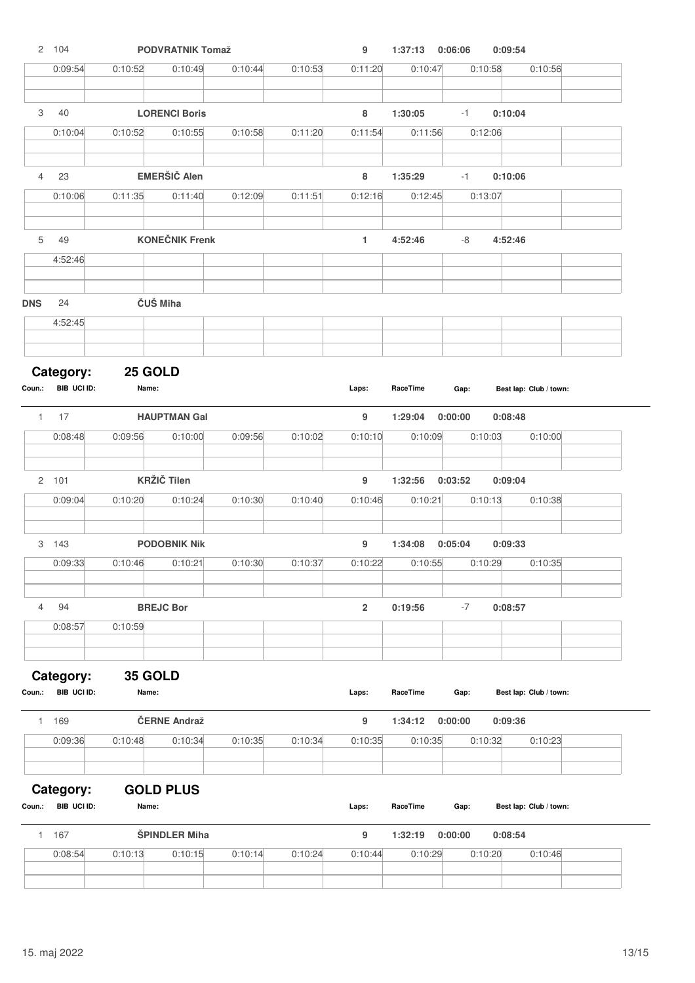|                | 2 104                    |                     | <b>PODVRATNIK Tomaž</b>         |         |         | 9              | 1:37:13 0:06:06    |                     | 0:09:54                |
|----------------|--------------------------|---------------------|---------------------------------|---------|---------|----------------|--------------------|---------------------|------------------------|
|                | 0:09:54                  | 0:10:52             | 0:10:49                         | 0:10:44 | 0:10:53 | 0:11:20        | 0:10:47            | 0:10:58             | 0:10:56                |
|                |                          |                     |                                 |         |         |                |                    |                     |                        |
| 3              | 40<br>0:10:04            | 0:10:52             | <b>LORENCI Boris</b><br>0:10:55 | 0:10:58 | 0:11:20 | 8<br>0:11:54   | 1:30:05<br>0:11:56 | $-1$<br>0:12:06     | 0:10:04                |
|                |                          |                     |                                 |         |         |                |                    |                     |                        |
| $\overline{4}$ | 23                       |                     | <b>EMERŠIČ Alen</b>             |         |         | 8              | 1:35:29            | $-1$                | 0:10:06                |
|                | 0:10:06                  | 0:11:35             | 0:11:40                         | 0:12:09 | 0:11:51 | 0:12:16        | 0:12:45            | 0:13:07             |                        |
|                |                          |                     |                                 |         |         |                |                    |                     |                        |
| 5              | 49                       |                     | <b>KONEČNIK Frenk</b>           |         |         | 1              | 4:52:46            | -8                  | 4:52:46                |
|                | 4:52:46                  |                     |                                 |         |         |                |                    |                     |                        |
| <b>DNS</b>     | 24                       |                     | ČUŠ Miha                        |         |         |                |                    |                     |                        |
|                | 4:52:45                  |                     |                                 |         |         |                |                    |                     |                        |
|                |                          |                     |                                 |         |         |                |                    |                     |                        |
|                | Category:                | 25 GOLD             |                                 |         |         |                |                    |                     |                        |
|                | Coun.: BIB UCI ID:       | Name:               |                                 |         |         | Laps:          | RaceTime           | Gap:                | Best lap: Club / town: |
|                | $1 \quad 17$             |                     | <b>HAUPTMAN Gal</b>             |         |         | 9              | 1:29:04            | 0:00:00             | 0:08:48                |
|                | 0:08:48                  | 0:09:56             | 0:10:00                         | 0:09:56 | 0:10:02 | 0:10:10        | 0:10:09            | 0:10:03             | 0:10:00                |
|                |                          |                     |                                 |         |         |                |                    |                     |                        |
|                | 2 101<br>0:09:04         |                     | <b>KRŽIČ Tilen</b><br>0:10:24   | 0:10:30 |         | 9              | 1:32:56            | 0:03:52<br>0:10:13  | 0:09:04                |
|                |                          | 0:10:20             |                                 |         | 0:10:40 | 0:10:46        | 0:10:21            |                     | 0:10:38                |
|                | 3 143                    |                     | <b>PODOBNIK Nik</b>             |         |         | 9              | 1:34:08            | 0:05:04             | 0:09:33                |
|                | 0:09:33                  | $0:10:46$ $0:10:21$ |                                 | 0:10:30 | 0:10:37 | 0:10:22        |                    | $0:10:55$ $0:10:29$ | 0:10:35                |
|                |                          |                     |                                 |         |         |                |                    |                     |                        |
| $\overline{4}$ | 94                       |                     | <b>BREJC Bor</b>                |         |         | $\overline{2}$ | 0:19:56            | $-7$                | 0:08:57                |
|                | 0:08:57                  | 0:10:59             |                                 |         |         |                |                    |                     |                        |
|                |                          |                     |                                 |         |         |                |                    |                     |                        |
| Coun.:         | Category:<br>BIB UCI ID: | 35 GOLD<br>Name:    |                                 |         |         | Laps:          | RaceTime           | Gap:                | Best lap: Club / town: |
|                |                          |                     | ČERNE Andraž                    |         |         |                |                    |                     |                        |
| 1.             | 169<br>0:09:36           | 0:10:48             | 0:10:34                         | 0:10:35 | 0:10:34 | 9<br>0:10:35   | 1:34:12<br>0:10:35 | 0:00:00<br>0:10:32  | 0:09:36<br>0:10:23     |
|                |                          |                     |                                 |         |         |                |                    |                     |                        |
|                | Category:                |                     | <b>GOLD PLUS</b>                |         |         |                |                    |                     |                        |
| Coun.:         | BIB UCI ID:              | Name:               |                                 |         |         | Laps:          | RaceTime           | Gap:                | Best lap: Club / town: |
|                | 1 167                    |                     | <b>ŠPINDLER Miha</b>            |         |         | 9              | 1:32:19            | 0:00:00             | 0:08:54                |
|                | 0:08:54                  | 0:10:13             | 0:10:15                         | 0:10:14 | 0:10:24 | 0:10:44        | 0:10:29            | 0:10:20             | 0:10:46                |
|                |                          |                     |                                 |         |         |                |                    |                     |                        |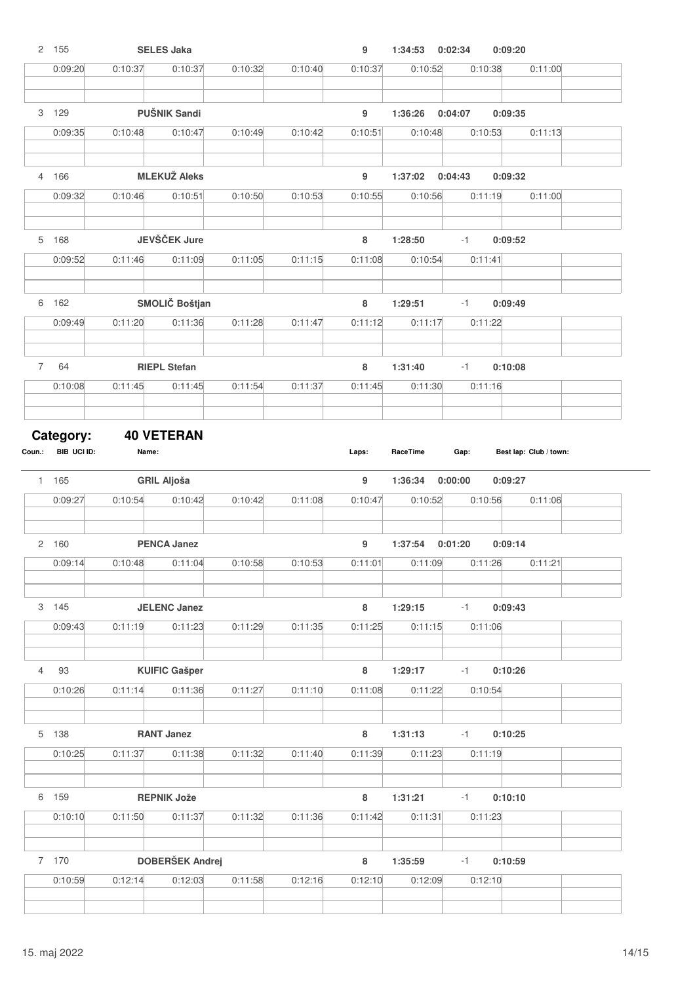|                | 2 155            |         | <b>SELES Jaka</b>                     |         |         | 9                           | 1:34:53            | 0:02:34         | 0:09:20 |                        |
|----------------|------------------|---------|---------------------------------------|---------|---------|-----------------------------|--------------------|-----------------|---------|------------------------|
|                | 0:09:20          | 0:10:37 | 0:10:37                               | 0:10:32 | 0:10:40 | 0:10:37                     | 0:10:52            | 0:10:38         |         | 0:11:00                |
|                |                  |         |                                       |         |         |                             |                    |                 |         |                        |
|                | 3 129            |         | <b>PUŠNIK Sandi</b>                   |         |         | 9                           | 1:36:26            | 0:04:07         | 0:09:35 |                        |
|                | 0:09:35          | 0:10:48 | 0:10:47                               | 0:10:49 | 0:10:42 | 0:10:51                     | 0:10:48            | 0:10:53         |         | 0:11:13                |
|                | 4 166            |         | <b>MLEKUŽ Aleks</b>                   |         |         | 9                           | 1:37:02            | 0:04:43         | 0:09:32 |                        |
|                | 0:09:32          | 0:10:46 | 0:10:51                               | 0:10:50 | 0:10:53 | 0:10:55                     | 0:10:56            | 0:11:19         |         | 0:11:00                |
|                |                  |         |                                       |         |         |                             |                    |                 |         |                        |
|                | 5 168            |         | JEVŠČEK Jure                          |         |         | 8                           | 1:28:50            | $-1$            | 0:09:52 |                        |
|                | 0:09:52          | 0:11:46 | 0:11:09                               | 0:11:05 | 0:11:15 | 0:11:08                     | 0:10:54            | 0:11:41         |         |                        |
|                | 6 162            |         | SMOLIČ Boštjan                        |         |         | 8                           | 1:29:51            | $-1$            | 0:09:49 |                        |
|                | 0:09:49          | 0:11:20 | 0:11:36                               | 0:11:28 | 0:11:47 | 0:11:12                     | 0:11:17            | 0:11:22         |         |                        |
|                |                  |         |                                       |         |         |                             |                    |                 |         |                        |
| $\overline{7}$ | 64               |         | <b>RIEPL Stefan</b>                   |         |         | 8                           | 1:31:40            | $-1$            | 0:10:08 |                        |
|                | 0:10:08          | 0:11:45 | 0:11:45                               | 0:11:54 | 0:11:37 | 0:11:45                     | 0:11:30            | 0:11:16         |         |                        |
|                | Category:        |         | <b>40 VETERAN</b>                     |         |         |                             |                    |                 |         |                        |
|                |                  |         |                                       |         |         |                             |                    |                 |         |                        |
|                | BIB UCI ID:      | Name:   |                                       |         |         | Laps:                       | RaceTime           | Gap:            |         | Best lap: Club / town: |
|                | 1 165            |         | <b>GRIL Aljoša</b>                    |         |         | 9                           | 1:36:34            | 0:00:00         | 0:09:27 |                        |
|                | 0:09:27          | 0:10:54 | 0:10:42                               | 0:10:42 | 0:11:08 | 0:10:47                     | 0:10:52            | 0:10:56         |         | 0:11:06                |
|                |                  |         |                                       |         |         |                             |                    | 0:01:20         |         |                        |
|                | 2 160<br>0:09:14 |         | <b>PENCA Janez</b><br>0:10:48 0:11:04 | 0:10:58 | 0:10:53 | $\boldsymbol{9}$<br>0:11:01 | 1:37:54            | 0:11:09 0:11:26 | 0:09:14 | 0:11:21                |
|                |                  |         |                                       |         |         |                             |                    |                 |         |                        |
|                | 3 145            |         | <b>JELENC Janez</b>                   |         |         | 8                           | 1:29:15            | $-1$            | 0:09:43 |                        |
|                | 0:09:43          | 0:11:19 | 0:11:23                               | 0:11:29 | 0:11:35 | 0:11:25                     | 0:11:15            | 0:11:06         |         |                        |
|                |                  |         |                                       |         |         |                             |                    |                 |         |                        |
| $\overline{4}$ | 93<br>0:10:26    | 0:11:14 | <b>KUIFIC Gašper</b><br>0:11:36       | 0:11:27 | 0:11:10 | 8<br>0:11:08                | 1:29:17<br>0:11:22 | $-1$<br>0:10:54 | 0:10:26 |                        |
|                |                  |         |                                       |         |         |                             |                    |                 |         |                        |
|                | 5 138            |         | <b>RANT Janez</b>                     |         |         | 8                           | 1:31:13            | $-1$            | 0:10:25 |                        |
|                | 0:10:25          | 0:11:37 | 0:11:38                               | 0:11:32 | 0:11:40 | 0:11:39                     | 0:11:23            | 0:11:19         |         |                        |
|                | 6 159            |         | <b>REPNIK Jože</b>                    |         |         | 8                           | 1:31:21            | $-1$            | 0:10:10 |                        |
|                | 0:10:10          | 0:11:50 | 0:11:37                               | 0:11:32 | 0:11:36 | 0:11:42                     | 0:11:31            | 0:11:23         |         |                        |
|                |                  |         |                                       |         |         |                             |                    |                 |         |                        |
|                | 7 170            |         | <b>DOBERŠEK Andrej</b>                |         |         | 8                           | 1:35:59            | $-1$            | 0:10:59 |                        |
| Coun.:         | 0:10:59          | 0:12:14 | 0:12:03                               | 0:11:58 | 0:12:16 | 0:12:10                     | 0:12:09            | 0:12:10         |         |                        |